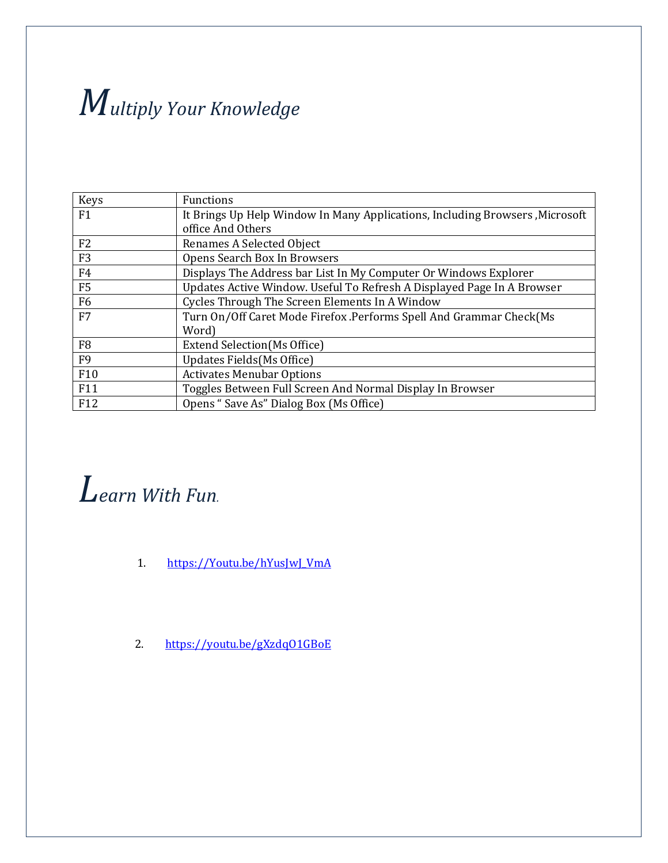## *Multiply Your Knowledge*

| Keys           | <b>Functions</b>                                                             |
|----------------|------------------------------------------------------------------------------|
| F1             | It Brings Up Help Window In Many Applications, Including Browsers, Microsoft |
|                | office And Others                                                            |
| F <sub>2</sub> | Renames A Selected Object                                                    |
| F <sub>3</sub> | Opens Search Box In Browsers                                                 |
| F <sub>4</sub> | Displays The Address bar List In My Computer Or Windows Explorer             |
| F <sub>5</sub> | Updates Active Window. Useful To Refresh A Displayed Page In A Browser       |
| F <sub>6</sub> | Cycles Through The Screen Elements In A Window                               |
| F7             | Turn On/Off Caret Mode Firefox .Performs Spell And Grammar Check(Ms          |
|                | Word)                                                                        |
| F <sub>8</sub> | <b>Extend Selection (Ms Office)</b>                                          |
| F <sub>9</sub> | Updates Fields (Ms Office)                                                   |
| F10            | <b>Activates Menubar Options</b>                                             |
| F11            | Toggles Between Full Screen And Normal Display In Browser                    |
| F12            | Opens "Save As" Dialog Box (Ms Office)                                       |

## *Learn With Fun.*

- 1. [https://Youtu.be/hYusJwJ\\_VmA](https://youtu.be/hYusJwJ_VmA)
- 2. <https://youtu.be/gXzdqO1GBoE>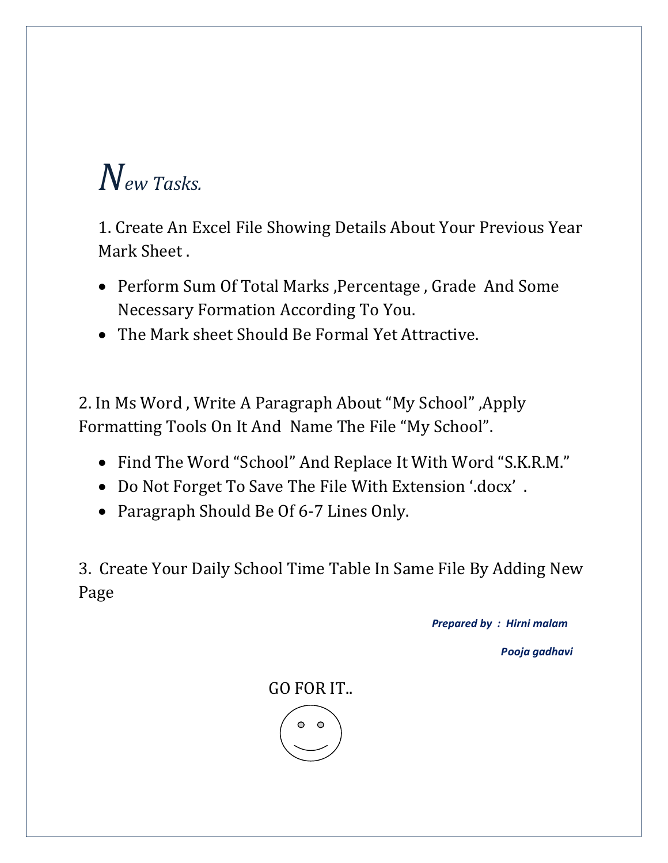## *New Tasks.*

1. Create An Excel File Showing Details About Your Previous Year Mark Sheet .

- Perform Sum Of Total Marks, Percentage, Grade And Some Necessary Formation According To You.
- The Mark sheet Should Be Formal Yet Attractive.

2. In Ms Word , Write A Paragraph About "My School" ,Apply Formatting Tools On It And Name The File "My School".

- Find The Word "School" And Replace It With Word "S.K.R.M."
- Do Not Forget To Save The File With Extension '.docx' .
- Paragraph Should Be Of 6-7 Lines Only.

3. Create Your Daily School Time Table In Same File By Adding New Page

*Prepared by : Hirni malam*

 *Pooja gadhavi*

GO FOR IT..

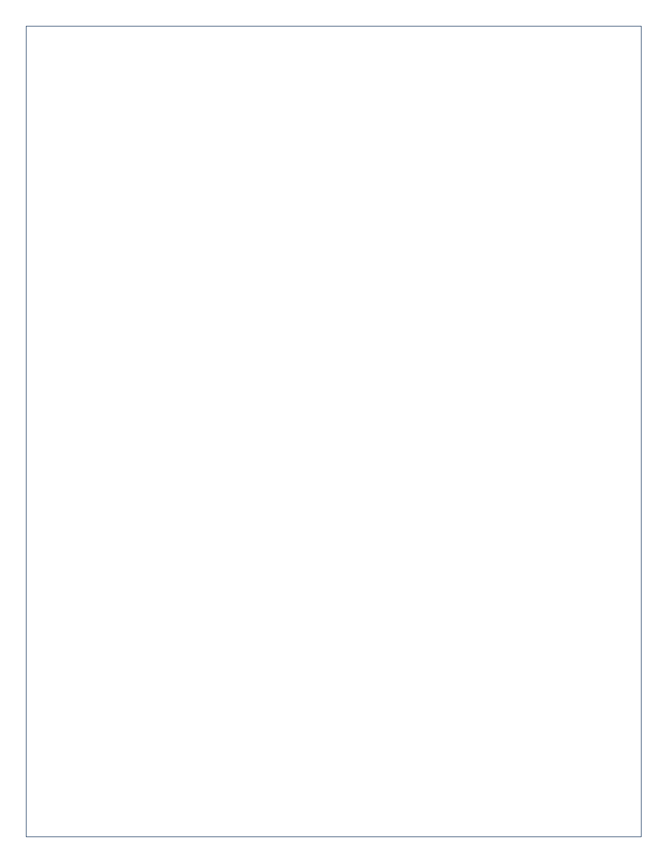